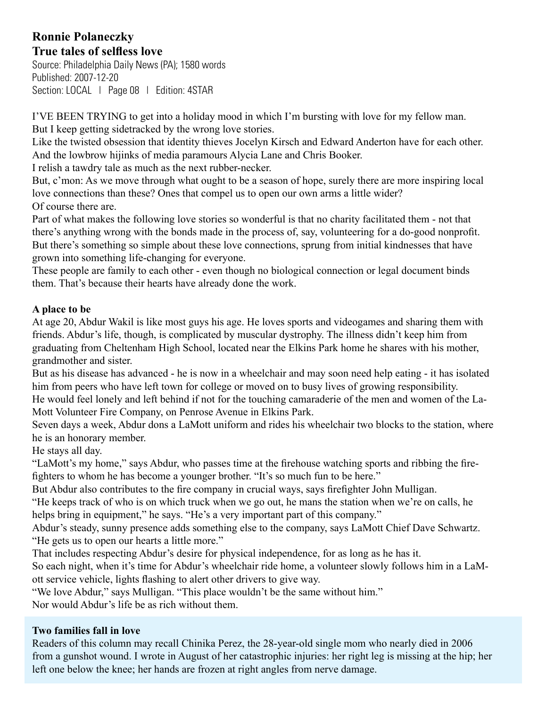## **Ronnie Polaneczky True tales of selfless love**

Source: Philadelphia Daily News (PA); 1580 words Published: 2007-12-20 Section: LOCAL | Page 08 | Edition: 4STAR

I'VE BEEN TRYING to get into a holiday mood in which I'm bursting with love for my fellow man. But I keep getting sidetracked by the wrong love stories.

Like the twisted obsession that identity thieves Jocelyn Kirsch and Edward Anderton have for each other. And the lowbrow hijinks of media paramours Alycia Lane and Chris Booker.

I relish a tawdry tale as much as the next rubber-necker.

But, c'mon: As we move through what ought to be a season of hope, surely there are more inspiring local love connections than these? Ones that compel us to open our own arms a little wider? Of course there are.

Part of what makes the following love stories so wonderful is that no charity facilitated them - not that there's anything wrong with the bonds made in the process of, say, volunteering for a do-good nonprofit. But there's something so simple about these love connections, sprung from initial kindnesses that have grown into something life-changing for everyone.

These people are family to each other - even though no biological connection or legal document binds them. That's because their hearts have already done the work.

## **A place to be**

At age 20, Abdur Wakil is like most guys his age. He loves sports and videogames and sharing them with friends. Abdur's life, though, is complicated by muscular dystrophy. The illness didn't keep him from graduating from Cheltenham High School, located near the Elkins Park home he shares with his mother, grandmother and sister.

But as his disease has advanced - he is now in a wheelchair and may soon need help eating - it has isolated him from peers who have left town for college or moved on to busy lives of growing responsibility. He would feel lonely and left behind if not for the touching camaraderie of the men and women of the La-Mott Volunteer Fire Company, on Penrose Avenue in Elkins Park.

Seven days a week, Abdur dons a LaMott uniform and rides his wheelchair two blocks to the station, where he is an honorary member.

He stays all day.

"LaMott's my home," says Abdur, who passes time at the firehouse watching sports and ribbing the firefighters to whom he has become a younger brother. "It's so much fun to be here."

But Abdur also contributes to the fire company in crucial ways, says firefighter John Mulligan.

"He keeps track of who is on which truck when we go out, he mans the station when we're on calls, he helps bring in equipment," he says. "He's a very important part of this company."

Abdur's steady, sunny presence adds something else to the company, says LaMott Chief Dave Schwartz. "He gets us to open our hearts a little more."

That includes respecting Abdur's desire for physical independence, for as long as he has it.

So each night, when it's time for Abdur's wheelchair ride home, a volunteer slowly follows him in a LaMott service vehicle, lights flashing to alert other drivers to give way.

"We love Abdur," says Mulligan. "This place wouldn't be the same without him."

Nor would Abdur's life be as rich without them.

## **Two families fall in love**

Readers of this column may recall Chinika Perez, the 28-year-old single mom who nearly died in 2006 from a gunshot wound. I wrote in August of her catastrophic injuries: her right leg is missing at the hip; her left one below the knee; her hands are frozen at right angles from nerve damage.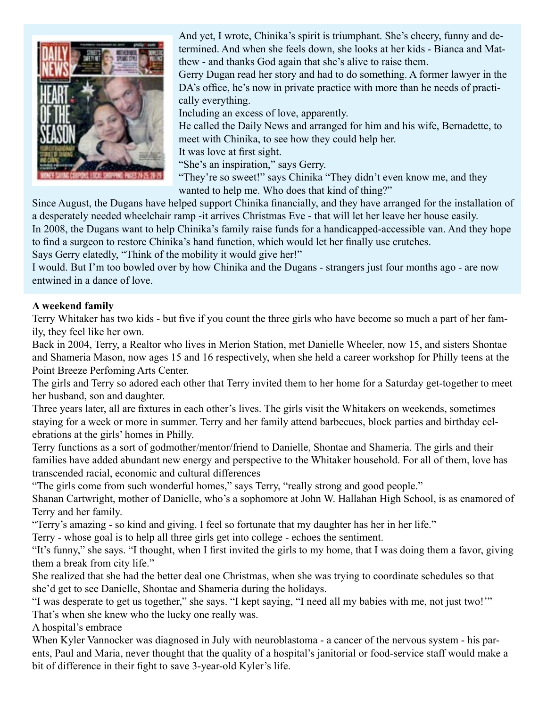

And yet, I wrote, Chinika's spirit is triumphant. She's cheery, funny and determined. And when she feels down, she looks at her kids - Bianca and Matthew - and thanks God again that she's alive to raise them. Gerry Dugan read her story and had to do something. A former lawyer in the DA's office, he's now in private practice with more than he needs of practically everything. Including an excess of love, apparently. He called the Daily News and arranged for him and his wife, Bernadette, to

meet with Chinika, to see how they could help her.

It was love at first sight.

"She's an inspiration," says Gerry.

"They're so sweet!" says Chinika "They didn't even know me, and they wanted to help me. Who does that kind of thing?"

Since August, the Dugans have helped support Chinika financially, and they have arranged for the installation of a desperately needed wheelchair ramp -it arrives Christmas Eve - that will let her leave her house easily. In 2008, the Dugans want to help Chinika's family raise funds for a handicapped-accessible van. And they hope to find a surgeon to restore Chinika's hand function, which would let her finally use crutches.

Says Gerry elatedly, "Think of the mobility it would give her!"

I would. But I'm too bowled over by how Chinika and the Dugans - strangers just four months ago - are now entwined in a dance of love.

## **A weekend family**

Terry Whitaker has two kids - but five if you count the three girls who have become so much a part of her family, they feel like her own.

Back in 2004, Terry, a Realtor who lives in Merion Station, met Danielle Wheeler, now 15, and sisters Shontae and Shameria Mason, now ages 15 and 16 respectively, when she held a career workshop for Philly teens at the Point Breeze Perfoming Arts Center.

The girls and Terry so adored each other that Terry invited them to her home for a Saturday get-together to meet her husband, son and daughter.

Three years later, all are fixtures in each other's lives. The girls visit the Whitakers on weekends, sometimes staying for a week or more in summer. Terry and her family attend barbecues, block parties and birthday celebrations at the girls' homes in Philly.

Terry functions as a sort of godmother/mentor/friend to Danielle, Shontae and Shameria. The girls and their families have added abundant new energy and perspective to the Whitaker household. For all of them, love has transcended racial, economic and cultural differences

"The girls come from such wonderful homes," says Terry, "really strong and good people."

Shanan Cartwright, mother of Danielle, who's a sophomore at John W. Hallahan High School, is as enamored of Terry and her family.

"Terry's amazing - so kind and giving. I feel so fortunate that my daughter has her in her life."

Terry - whose goal is to help all three girls get into college - echoes the sentiment.

"It's funny," she says. "I thought, when I first invited the girls to my home, that I was doing them a favor, giving them a break from city life."

She realized that she had the better deal one Christmas, when she was trying to coordinate schedules so that she'd get to see Danielle, Shontae and Shameria during the holidays.

"I was desperate to get us together," she says. "I kept saying, "I need all my babies with me, not just two!'" That's when she knew who the lucky one really was.

A hospital's embrace

When Kyler Vannocker was diagnosed in July with neuroblastoma - a cancer of the nervous system - his parents, Paul and Maria, never thought that the quality of a hospital's janitorial or food-service staff would make a bit of difference in their fight to save 3-year-old Kyler's life.